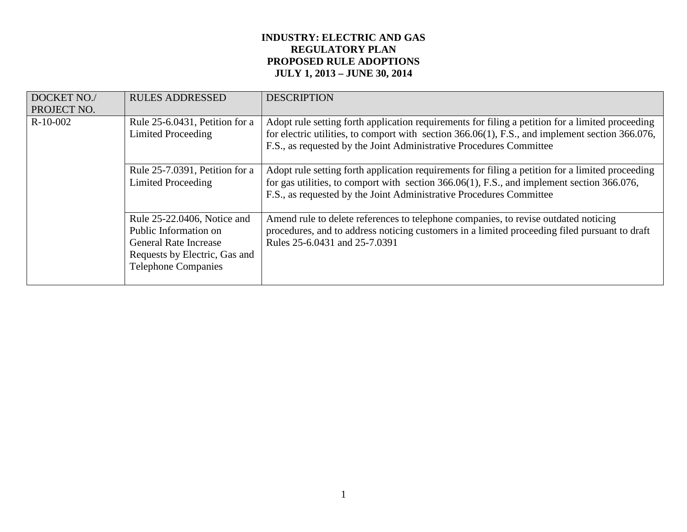# **INDUSTRY: ELECTRIC AND GAS REGULATORY PLAN PROPOSED RULE ADOPTIONS JULY 1, 2013 – JUNE 30, 2014**

| DOCKET NO./<br>PROJECT NO. | <b>RULES ADDRESSED</b>                                                                                                                              | <b>DESCRIPTION</b>                                                                                                                                                                                                                                                         |
|----------------------------|-----------------------------------------------------------------------------------------------------------------------------------------------------|----------------------------------------------------------------------------------------------------------------------------------------------------------------------------------------------------------------------------------------------------------------------------|
| $R-10-002$                 | Rule 25-6.0431, Petition for a<br>Limited Proceeding                                                                                                | Adopt rule setting forth application requirements for filing a petition for a limited proceeding<br>for electric utilities, to comport with section 366.06(1), F.S., and implement section 366.076,<br>F.S., as requested by the Joint Administrative Procedures Committee |
|                            | Rule 25-7.0391, Petition for a<br>Limited Proceeding                                                                                                | Adopt rule setting forth application requirements for filing a petition for a limited proceeding<br>for gas utilities, to comport with section 366.06(1), F.S., and implement section 366.076,<br>F.S., as requested by the Joint Administrative Procedures Committee      |
|                            | Rule 25-22.0406, Notice and<br>Public Information on<br><b>General Rate Increase</b><br>Requests by Electric, Gas and<br><b>Telephone Companies</b> | Amend rule to delete references to telephone companies, to revise outdated noticing<br>procedures, and to address noticing customers in a limited proceeding filed pursuant to draft<br>Rules 25-6.0431 and 25-7.0391                                                      |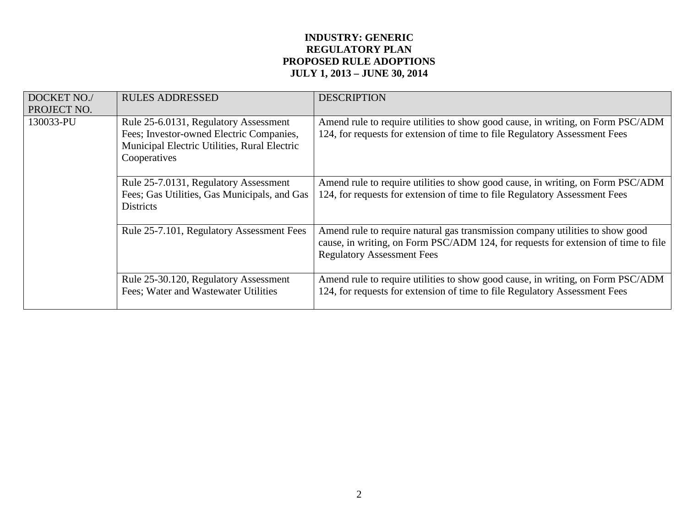# **INDUSTRY: GENERIC REGULATORY PLAN PROPOSED RULE ADOPTIONS JULY 1, 2013 – JUNE 30, 2014**

| DOCKET NO./<br>PROJECT NO.                                                                                                                                                                                                              | <b>RULES ADDRESSED</b>                                                                                                                                                                                   | <b>DESCRIPTION</b>                                                                                                                                            |
|-----------------------------------------------------------------------------------------------------------------------------------------------------------------------------------------------------------------------------------------|----------------------------------------------------------------------------------------------------------------------------------------------------------------------------------------------------------|---------------------------------------------------------------------------------------------------------------------------------------------------------------|
| 130033-PU                                                                                                                                                                                                                               | Rule 25-6.0131, Regulatory Assessment<br>Fees; Investor-owned Electric Companies,<br>Municipal Electric Utilities, Rural Electric<br>Cooperatives                                                        | Amend rule to require utilities to show good cause, in writing, on Form PSC/ADM<br>124, for requests for extension of time to file Regulatory Assessment Fees |
| Rule 25-7.0131, Regulatory Assessment<br>Fees; Gas Utilities, Gas Municipals, and Gas<br><b>Districts</b><br>Rule 25-7.101, Regulatory Assessment Fees<br>Rule 25-30.120, Regulatory Assessment<br>Fees; Water and Wastewater Utilities | Amend rule to require utilities to show good cause, in writing, on Form PSC/ADM<br>124, for requests for extension of time to file Regulatory Assessment Fees                                            |                                                                                                                                                               |
|                                                                                                                                                                                                                                         | Amend rule to require natural gas transmission company utilities to show good<br>cause, in writing, on Form PSC/ADM 124, for requests for extension of time to file<br><b>Regulatory Assessment Fees</b> |                                                                                                                                                               |
|                                                                                                                                                                                                                                         |                                                                                                                                                                                                          | Amend rule to require utilities to show good cause, in writing, on Form PSC/ADM<br>124, for requests for extension of time to file Regulatory Assessment Fees |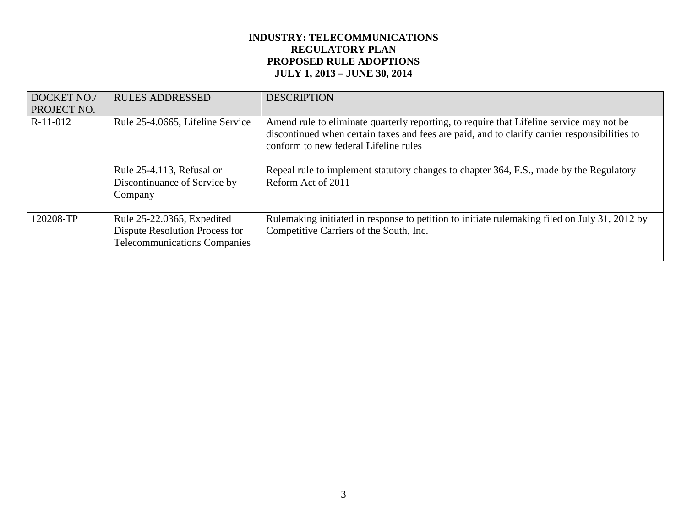# **INDUSTRY: TELECOMMUNICATIONS REGULATORY PLAN PROPOSED RULE ADOPTIONS JULY 1, 2013 – JUNE 30, 2014**

| DOCKET NO./<br>PROJECT NO. | <b>RULES ADDRESSED</b>                                                                              | <b>DESCRIPTION</b>                                                                                                                                                                                                                 |
|----------------------------|-----------------------------------------------------------------------------------------------------|------------------------------------------------------------------------------------------------------------------------------------------------------------------------------------------------------------------------------------|
| R-11-012                   | Rule 25-4.0665, Lifeline Service                                                                    | Amend rule to eliminate quarterly reporting, to require that Lifeline service may not be<br>discontinued when certain taxes and fees are paid, and to clarify carrier responsibilities to<br>conform to new federal Lifeline rules |
|                            | Rule 25-4.113, Refusal or<br>Discontinuance of Service by<br>Company                                | Repeal rule to implement statutory changes to chapter 364, F.S., made by the Regulatory<br>Reform Act of 2011                                                                                                                      |
| 120208-TP                  | Rule 25-22.0365, Expedited<br>Dispute Resolution Process for<br><b>Telecommunications Companies</b> | Rulemaking initiated in response to petition to initiate rulemaking filed on July 31, 2012 by<br>Competitive Carriers of the South, Inc.                                                                                           |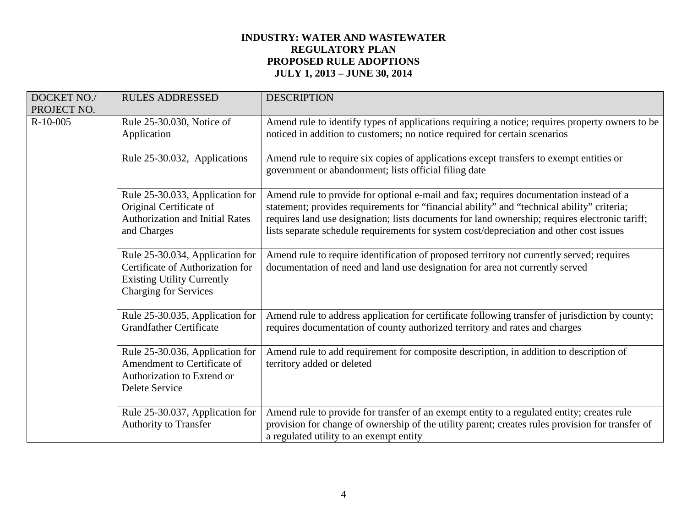# **INDUSTRY: WATER AND WASTEWATER REGULATORY PLAN PROPOSED RULE ADOPTIONS JULY 1, 2013 – JUNE 30, 2014**

| DOCKET NO./<br>PROJECT NO. | <b>RULES ADDRESSED</b>                                                                                                                   | <b>DESCRIPTION</b>                                                                                                                                                                                                                                                                                                                                                                |
|----------------------------|------------------------------------------------------------------------------------------------------------------------------------------|-----------------------------------------------------------------------------------------------------------------------------------------------------------------------------------------------------------------------------------------------------------------------------------------------------------------------------------------------------------------------------------|
| $R-10-005$                 | Rule 25-30.030, Notice of<br>Application                                                                                                 | Amend rule to identify types of applications requiring a notice; requires property owners to be<br>noticed in addition to customers; no notice required for certain scenarios                                                                                                                                                                                                     |
|                            | Rule 25-30.032, Applications                                                                                                             | Amend rule to require six copies of applications except transfers to exempt entities or<br>government or abandonment; lists official filing date                                                                                                                                                                                                                                  |
|                            | Rule 25-30.033, Application for<br>Original Certificate of<br><b>Authorization and Initial Rates</b><br>and Charges                      | Amend rule to provide for optional e-mail and fax; requires documentation instead of a<br>statement; provides requirements for "financial ability" and "technical ability" criteria;<br>requires land use designation; lists documents for land ownership; requires electronic tariff;<br>lists separate schedule requirements for system cost/depreciation and other cost issues |
|                            | Rule 25-30.034, Application for<br>Certificate of Authorization for<br><b>Existing Utility Currently</b><br><b>Charging for Services</b> | Amend rule to require identification of proposed territory not currently served; requires<br>documentation of need and land use designation for area not currently served                                                                                                                                                                                                         |
|                            | Rule 25-30.035, Application for<br><b>Grandfather Certificate</b>                                                                        | Amend rule to address application for certificate following transfer of jurisdiction by county;<br>requires documentation of county authorized territory and rates and charges                                                                                                                                                                                                    |
|                            | Rule 25-30.036, Application for<br>Amendment to Certificate of<br>Authorization to Extend or<br>Delete Service                           | Amend rule to add requirement for composite description, in addition to description of<br>territory added or deleted                                                                                                                                                                                                                                                              |
|                            | Rule 25-30.037, Application for<br><b>Authority to Transfer</b>                                                                          | Amend rule to provide for transfer of an exempt entity to a regulated entity; creates rule<br>provision for change of ownership of the utility parent; creates rules provision for transfer of<br>a regulated utility to an exempt entity                                                                                                                                         |